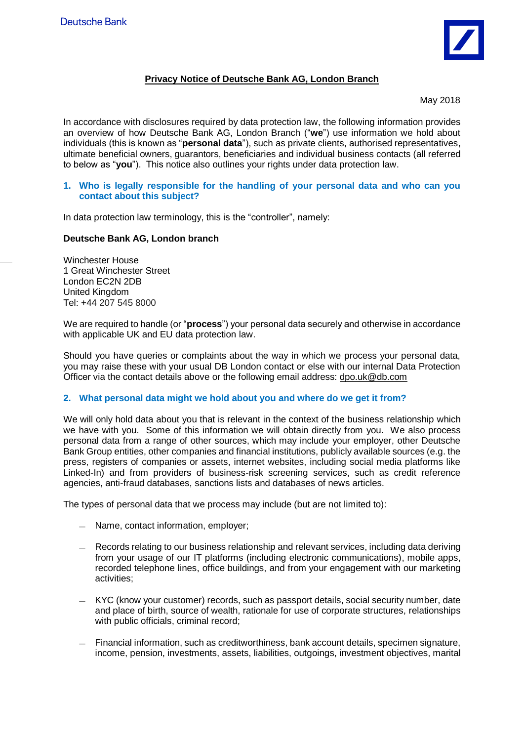

# **Privacy Notice of Deutsche Bank AG, London Branch**

May 2018

In accordance with disclosures required by data protection law, the following information provides an overview of how Deutsche Bank AG, London Branch ("**we**") use information we hold about individuals (this is known as "**personal data**"), such as private clients, authorised representatives, ultimate beneficial owners, guarantors, beneficiaries and individual business contacts (all referred to below as "**you**"). This notice also outlines your rights under data protection law.

#### **1. Who is legally responsible for the handling of your personal data and who can you contact about this subject?**

In data protection law terminology, this is the "controller", namely:

#### **Deutsche Bank AG, London branch**

Winchester House 1 Great Winchester Street London EC2N 2DB United Kingdom Tel: +44 207 545 8000

We are required to handle (or "**process**") your personal data securely and otherwise in accordance with applicable UK and EU data protection law.

Should you have queries or complaints about the way in which we process your personal data, you may raise these with your usual DB London contact or else with our internal Data Protection Officer via the contact details above or the following email address: dpo.uk@db.com

#### **2. What personal data might we hold about you and where do we get it from?**

We will only hold data about you that is relevant in the context of the business relationship which we have with you. Some of this information we will obtain directly from you. We also process personal data from a range of other sources, which may include your employer, other Deutsche Bank Group entities, other companies and financial institutions, publicly available sources (e.g. the press, registers of companies or assets, internet websites, including social media platforms like Linked-In) and from providers of business-risk screening services, such as credit reference agencies, anti-fraud databases, sanctions lists and databases of news articles.

The types of personal data that we process may include (but are not limited to):

- Name, contact information, employer;
- Records relating to our business relationship and relevant services, including data deriving from your usage of our IT platforms (including electronic communications), mobile apps, recorded telephone lines, office buildings, and from your engagement with our marketing activities;
- KYC (know your customer) records, such as passport details, social security number, date and place of birth, source of wealth, rationale for use of corporate structures, relationships with public officials, criminal record;
- Financial information, such as creditworthiness, bank account details, specimen signature, income, pension, investments, assets, liabilities, outgoings, investment objectives, marital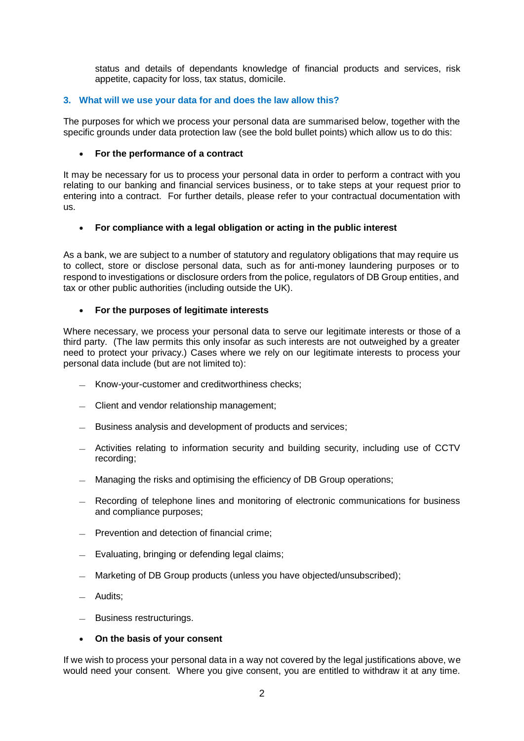status and details of dependants knowledge of financial products and services, risk appetite, capacity for loss, tax status, domicile.

## **3. What will we use your data for and does the law allow this?**

The purposes for which we process your personal data are summarised below, together with the specific grounds under data protection law (see the bold bullet points) which allow us to do this:

### **For the performance of a contract**

It may be necessary for us to process your personal data in order to perform a contract with you relating to our banking and financial services business, or to take steps at your request prior to entering into a contract. For further details, please refer to your contractual documentation with us.

## **For compliance with a legal obligation or acting in the public interest**

As a bank, we are subject to a number of statutory and regulatory obligations that may require us to collect, store or disclose personal data, such as for anti-money laundering purposes or to respond to investigations or disclosure orders from the police, regulators of DB Group entities, and tax or other public authorities (including outside the UK).

## **For the purposes of legitimate interests**

Where necessary, we process your personal data to serve our legitimate interests or those of a third party. (The law permits this only insofar as such interests are not outweighed by a greater need to protect your privacy.) Cases where we rely on our legitimate interests to process your personal data include (but are not limited to):

- Know-your-customer and creditworthiness checks;
- Client and vendor relationship management;
- Business analysis and development of products and services;
- Activities relating to information security and building security, including use of CCTV recording;
- Managing the risks and optimising the efficiency of DB Group operations;
- Recording of telephone lines and monitoring of electronic communications for business and compliance purposes;
- Prevention and detection of financial crime;
- Evaluating, bringing or defending legal claims;
- Marketing of DB Group products (unless you have objected/unsubscribed);
- Audits;
- Business restructurings.

#### **On the basis of your consent**

If we wish to process your personal data in a way not covered by the legal justifications above, we would need your consent. Where you give consent, you are entitled to withdraw it at any time.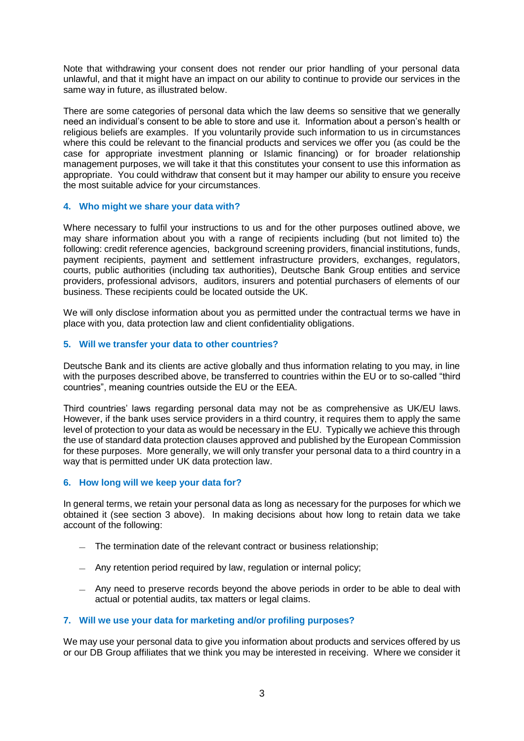Note that withdrawing your consent does not render our prior handling of your personal data unlawful, and that it might have an impact on our ability to continue to provide our services in the same way in future, as illustrated below.

There are some categories of personal data which the law deems so sensitive that we generally need an individual's consent to be able to store and use it. Information about a person's health or religious beliefs are examples. If you voluntarily provide such information to us in circumstances where this could be relevant to the financial products and services we offer you (as could be the case for appropriate investment planning or Islamic financing) or for broader relationship management purposes, we will take it that this constitutes your consent to use this information as appropriate. You could withdraw that consent but it may hamper our ability to ensure you receive the most suitable advice for your circumstances.

#### **4. Who might we share your data with?**

Where necessary to fulfil your instructions to us and for the other purposes outlined above, we may share information about you with a range of recipients including (but not limited to) the following: credit reference agencies, background screening providers, financial institutions, funds, payment recipients, payment and settlement infrastructure providers, exchanges, regulators, courts, public authorities (including tax authorities), Deutsche Bank Group entities and service providers, professional advisors, auditors, insurers and potential purchasers of elements of our business. These recipients could be located outside the UK.

We will only disclose information about you as permitted under the contractual terms we have in place with you, data protection law and client confidentiality obligations.

## **5. Will we transfer your data to other countries?**

Deutsche Bank and its clients are active globally and thus information relating to you may, in line with the purposes described above, be transferred to countries within the EU or to so-called "third countries", meaning countries outside the EU or the EEA.

Third countries' laws regarding personal data may not be as comprehensive as UK/EU laws. However, if the bank uses service providers in a third country, it requires them to apply the same level of protection to your data as would be necessary in the EU. Typically we achieve this through the use of standard data protection clauses approved and published by the European Commission for these purposes. More generally, we will only transfer your personal data to a third country in a way that is permitted under UK data protection law.

#### **6. How long will we keep your data for?**

In general terms, we retain your personal data as long as necessary for the purposes for which we obtained it (see section 3 above). In making decisions about how long to retain data we take account of the following:

- The termination date of the relevant contract or business relationship;
- Any retention period required by law, regulation or internal policy;
- Any need to preserve records beyond the above periods in order to be able to deal with actual or potential audits, tax matters or legal claims.

## **7. Will we use your data for marketing and/or profiling purposes?**

We may use your personal data to give you information about products and services offered by us or our DB Group affiliates that we think you may be interested in receiving. Where we consider it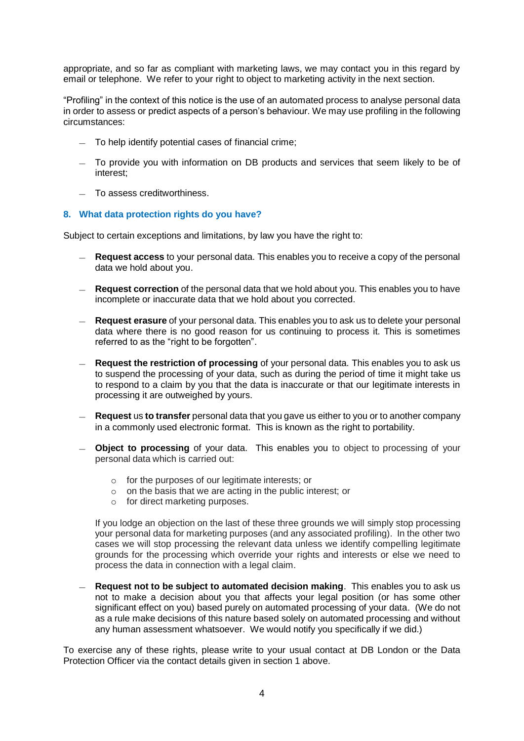appropriate, and so far as compliant with marketing laws, we may contact you in this regard by email or telephone. We refer to your right to object to marketing activity in the next section.

"Profiling" in the context of this notice is the use of an automated process to analyse personal data in order to assess or predict aspects of a person's behaviour. We may use profiling in the following circumstances:

- To help identify potential cases of financial crime;
- To provide you with information on DB products and services that seem likely to be of interest;
- To assess creditworthiness.

#### **8. What data protection rights do you have?**

Subject to certain exceptions and limitations, by law you have the right to:

- **Request access** to your personal data. This enables you to receive a copy of the personal data we hold about you.
- **Request correction** of the personal data that we hold about you. This enables you to have incomplete or inaccurate data that we hold about you corrected.
- **Request erasure** of your personal data. This enables you to ask us to delete your personal data where there is no good reason for us continuing to process it. This is sometimes referred to as the "right to be forgotten".
- **Request the restriction of processing** of your personal data. This enables you to ask us to suspend the processing of your data, such as during the period of time it might take us to respond to a claim by you that the data is inaccurate or that our legitimate interests in processing it are outweighed by yours.
- **Request** us **to transfer** personal data that you gave us either to you or to another company in a commonly used electronic format. This is known as the right to portability.
- **Object to processing** of your data. This enables you to object to processing of your personal data which is carried out:
	- o for the purposes of our legitimate interests; or
	- o on the basis that we are acting in the public interest; or
	- o for direct marketing purposes.

If you lodge an objection on the last of these three grounds we will simply stop processing your personal data for marketing purposes (and any associated profiling). In the other two cases we will stop processing the relevant data unless we identify compelling legitimate grounds for the processing which override your rights and interests or else we need to process the data in connection with a legal claim.

— **Request not to be subject to automated decision making**. This enables you to ask us not to make a decision about you that affects your legal position (or has some other significant effect on you) based purely on automated processing of your data. (We do not as a rule make decisions of this nature based solely on automated processing and without any human assessment whatsoever. We would notify you specifically if we did.)

To exercise any of these rights, please write to your usual contact at DB London or the Data Protection Officer via the contact details given in section 1 above.